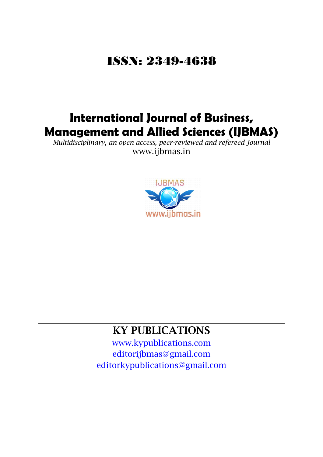## ISSN: [2349-4638](http://www.ijbmas.in/ISSN.doc)

## **International Journal of Business, Management and Allied Sciences (IJBMAS)**

*Multidisciplinary, an open access, peer-reviewed and refereed Journal*  www.ijbmas.in



## **KY PUBLICATIONS**

[www.kypublications.com](http://www.kypublications.com/) [editorijbmas@gmail.com](mailto:editorijbmas@gmail.com) [editorkypublications@gmail.com](mailto:editorkypublications@gmail.com)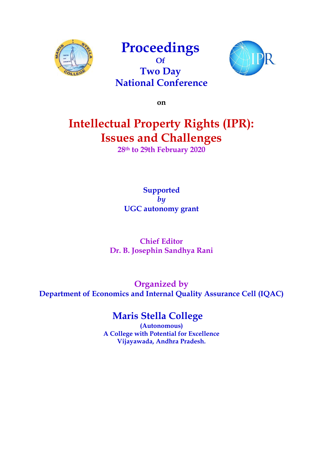

## **Proceedings Of**  $\frac{1}{2}$ **Two Day National Conference**



**on**

# **Intellectual Property Rights (IPR): Issues and Challenges**

**28th to 29th February 2020**

**Supported**  *by* **UGC autonomy grant** 

## **Chief Editor Dr. B. Josephin Sandhya Rani**

**Organized by Department of Economics and Internal Quality Assurance Cell (IQAC)**

## **Maris Stella College**

**(Autonomous) A College with Potential for Excellence Vijayawada, Andhra Pradesh.**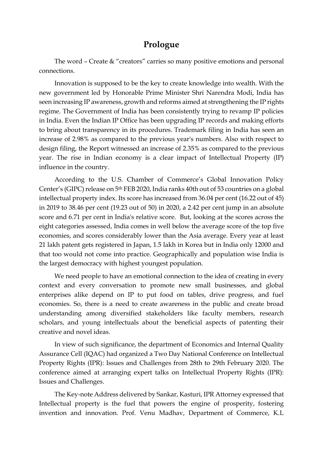## **Prologue**

The word – Create & "creators" carries so many positive emotions and personal connections.

Innovation is supposed to be the key to create knowledge into wealth. With the new government led by Honorable Prime Minister Shri Narendra Modi, India has seen increasing IP awareness, growth and reforms aimed at strengthening the IP rights regime. The Government of India has been consistently trying to revamp IP policies in India. Even the Indian IP Office has been upgrading IP records and making efforts to bring about transparency in its procedures. Trademark filing in India has seen an increase of 2.98% as compared to the previous year's numbers. Also with respect to design filing, the Report witnessed an increase of 2.35% as compared to the previous year. The rise in Indian economy is a clear impact of Intellectual Property (IP) influence in the country.

According to the U.S. Chamber of Commerce's Global Innovation Policy Center's (GIPC) release on 5th FEB 2020, India ranks 40th out of 53 countries on a global intellectual property index. Its score has increased from 36.04 per cent (16.22 out of 45) in 2019 to 38.46 per cent (19.23 out of 50) in 2020, a 2.42 per cent jump in an absolute score and 6.71 per cent in India's relative score. But, looking at the scores across the eight categories assessed, India comes in well below the average score of the top five economies, and scores considerably lower than the Asia average. Every year at least 21 lakh patent gets registered in Japan, 1.5 lakh in Korea but in India only 12000 and that too would not come into practice. Geographically and population wise India is the largest democracy with highest youngest population.

We need people to have an emotional connection to the idea of creating in every context and every conversation to promote new small businesses, and global enterprises alike depend on IP to put food on tables, drive progress, and fuel economies. So, there is a need to create awareness in the public and create broad understanding among diversified stakeholders like faculty members, research scholars, and young intellectuals about the beneficial aspects of patenting their creative and novel ideas.

In view of such significance, the department of Economics and Internal Quality Assurance Cell (IQAC) had organized a Two Day National Conference on Intellectual Property Rights (IPR): Issues and Challenges from 28th to 29th February 2020. The conference aimed at arranging expert talks on Intellectual Property Rights (IPR): Issues and Challenges.

The Key-note Address delivered by Sankar, Kasturi, IPR Attorney expressed that Intellectual property is the fuel that powers the engine of prosperity, fostering invention and innovation. Prof. Venu Madhav, Department of Commerce, K.L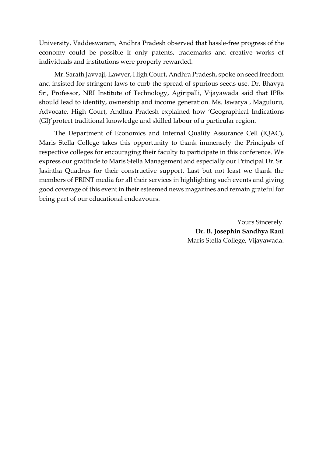University, Vaddeswaram, Andhra Pradesh observed that hassle-free progress of the economy could be possible if only patents, trademarks and creative works of individuals and institutions were properly rewarded.

Mr. Sarath Javvaji, Lawyer, High Court, Andhra Pradesh, spoke on seed freedom and insisted for stringent laws to curb the spread of spurious seeds use. Dr. Bhavya Sri, Professor, NRI Institute of Technology, Agiripalli, Vijayawada said that IPRs should lead to identity, ownership and income generation. Ms. Iswarya , Maguluru, Advocate, High Court, Andhra Pradesh explained how 'Geographical Indications (GI)'protect traditional knowledge and skilled labour of a particular region.

The Department of Economics and Internal Quality Assurance Cell (IQAC), Maris Stella College takes this opportunity to thank immensely the Principals of respective colleges for encouraging their faculty to participate in this conference. We express our gratitude to Maris Stella Management and especially our Principal Dr. Sr. Jasintha Quadrus for their constructive support. Last but not least we thank the members of PRINT media for all their services in highlighting such events and giving good coverage of this event in their esteemed news magazines and remain grateful for being part of our educational endeavours.

> Yours Sincerely. **Dr. B. Josephin Sandhya Rani**  Maris Stella College, Vijayawada.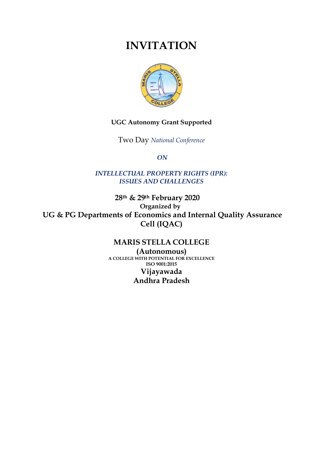## **INVITATION**



### **UGC Autonomy Grant Supported**

Two Day *National Conference*

*ON* 

*INTELLECTUAL PROPERTY RIGHTS (IPR): ISSUES AND CHALLENGES*

 **28th & 29th February 2020 Organized by UG & PG Departments of Economics and Internal Quality Assurance Cell (IQAC)**

### **MARIS STELLA COLLEGE**

**(Autonomous) A COLLEGE WITH POTENTIAL FOR EXCELLENCE ISO 9001:2015 Vijayawada Andhra Pradesh**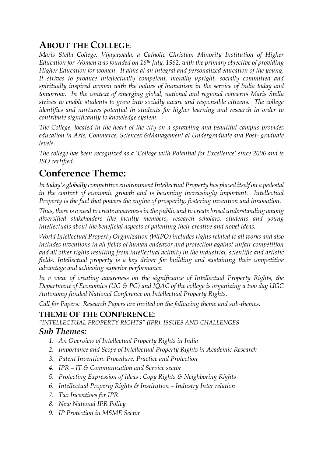## **ABOUT THE COLLEGE***:*

*Maris Stella College, Vijayawada, a Catholic Christian Minority Institution of Higher Education for Women was founded on 16th July, 1962, with the primary objective of providing Higher Education for women. It aims at an integral and personalized education of the young. It strives to produce intellectually competent, morally upright, socially committed and spiritually inspired women with the values of humanism in the service of India today and tomorrow. In the context of emerging global, national and regional concerns Maris Stella strives to enable students to grow into socially aware and responsible citizens. The college identifies and nurtures potential in students for higher learning and research in order to contribute significantly to knowledge system.* 

*The College, located in the heart of the city on a sprawling and beautiful campus provides education in Arts, Commerce, Sciences &Management at Undergraduate and Post- graduate levels.*

*The college has been recognized as a 'College with Potential for Excellence' since 2006 and is ISO certified.* 

## **Conference Theme:**

*In today's globally competitive environment Intellectual Property has placed itself on a pedestal*  in the context of economic growth and is becoming increasingly important. Intellectual *Property is the fuel that powers the engine of prosperity, fostering invention and innovation.*

*Thus, there is a need to create awareness in the public and to create broad understanding among diversified stakeholders like faculty members, research scholars, students and young intellectuals about the beneficial aspects of patenting their creative and novel ideas.*

*World Intellectual Property Organization (WIPO) includes rights related to all works and also includes inventions in all fields of human endeavor and protection against unfair competition and all other rights resulting from intellectual activity in the industrial, scientific and artistic fields. Intellectual property is a key driver for building and sustaining their competitive advantage and achieving superior performance.*

*In v view of creating awareness on the significance of Intellectual Property Rights, the Department of Economics (UG & PG) and IQAC of the college is organizing a two day UGC Autonomy funded National Conference on Intellectual Property Rights.*

*Call for Papers: Research Papers are invited on the following theme and sub-themes.*

## **THEME OF THE CONFERENCE:**

*"INTELLECTUAL PROPERTY RIGHTS" (IPR): ISSUES AND CHALLENGES*

## *Sub Themes:*

- *1. An Overview of Intellectual Property Rights in India*
- *2. Importance and Scope of Intellectual Property Rights in Academic Research*
- *3. Patent Invention: Procedure, Practice and Protection*
- *4. IPR – IT & Communication and Service sector*
- *5. Protecting Expression of Ideas : Copy Rights & Neighboring Rights*
- *6. Intellectual Property Rights & Institution – Industry Inter relation*
- *7. Tax Incentives for IPR*
- *8. New National IPR Policy*
- *9. IP Protection in MSME Sector*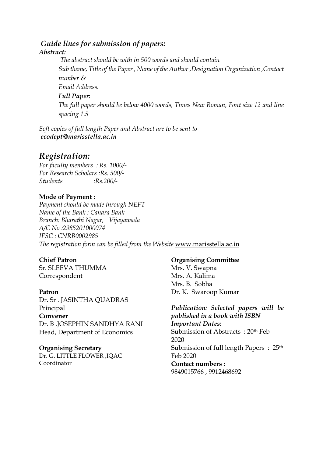### *Guide lines for submission of papers:*

### *Abstract:*

*The abstract should be with in 500 words and should contain Sub theme, Title of the Paper , Name of the Author ,Designation Organization ,Contact number & Email Address. Full Paper: The full paper should be below 4000 words, Times New Roman, Font size 12 and line spacing 1.5*

*Soft copies of full length Paper and Abstract are to be sent to ecodept@marisstella.ac.in*

## *Registration:*

*For faculty members : Rs. 1000/- For Research Scholars :Rs. 500/- Students :Rs.200/-*

### **Mode of Payment :**

*Payment should be made through NEFT Name of the Bank : Canara Bank Branch: Bharathi Nagar, Vijayawada A/C No :2985201000074 IFSC : CNRB0002985 The registration form can be filled from the Website* [www.marisstella.ac.in](http://www.marisstella.ac.in/)

### **Chief Patron**

Sr. SLEEVA THUMMA Correspondent

### **Patron**

Dr. Sr . JASINTHA QUADRAS Principal **Convener** Dr. B .JOSEPHIN SANDHYA RANI Head, Department of Economics

### **Organising Secretary**

Dr. G. LITTLE FLOWER ,IQAC Coordinator

### **Organising Committee**

Mrs. V. Swapna Mrs. A. Kalima Mrs. B. Sobha Dr. K. Swaroop Kumar

*Publication: Selected papers will be published in a book with ISBN Important Dates:* Submission of Abstracts : 20th Feb 2020 Submission of full length Papers : 25th Feb 2020 **Contact numbers :** 9849015766 , 9912468692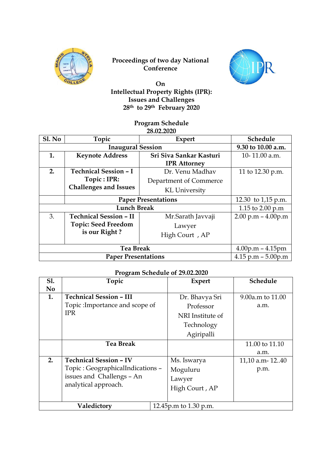

#### **Proceedings of two day National Conference**



#### **COLLECTED** On **Intellectual Property Rights (IPR): Issues and Challenges 28th to 29th February 2020**

#### **Program Schedule 28.02.2020**

| Sl. No                     | Topic                         | <b>Expert</b>           | Schedule               |
|----------------------------|-------------------------------|-------------------------|------------------------|
| <b>Inaugural Session</b>   |                               |                         | 9.30 to 10.00 a.m.     |
| 1.                         | <b>Keynote Address</b>        | Sri Siva Sankar Kasturi | 10-11.00 a.m.          |
|                            |                               | <b>IPR</b> Attorney     |                        |
| 2.                         | <b>Technical Session - I</b>  | Dr. Venu Madhav         | 11 to 12.30 p.m.       |
|                            | Topic : IPR:                  | Department of Commerce  |                        |
|                            | <b>Challenges and Issues</b>  | KL University           |                        |
| <b>Paper Presentations</b> |                               | 12.30 to $1,15$ p.m.    |                        |
| <b>Lunch Break</b>         |                               |                         | 1.15 to 2.00 p.m       |
| 3.                         | <b>Technical Session - II</b> | Mr.Sarath Javvaji       | $2.00 p.m - 4.00 p.m$  |
|                            | <b>Topic: Seed Freedom</b>    | Lawyer                  |                        |
|                            | is our Right?                 | High Court, AP          |                        |
| <b>Tea Break</b>           |                               |                         | $4.00$ p.m – $4.15$ pm |
| <b>Paper Presentations</b> |                               |                         | 4.15 p.m $-$ 5.00p.m   |

#### **Program Schedule of 29.02.2020**

| <b>S1.</b>     | Topic                             |  | <b>Expert</b>         | Schedule           |
|----------------|-----------------------------------|--|-----------------------|--------------------|
| N <sub>0</sub> |                                   |  |                       |                    |
| 1.             | <b>Technical Session - III</b>    |  | Dr. Bhavya Sri        | 9.00a.m to $11.00$ |
|                | Topic: Importance and scope of    |  | Professor             | a.m.               |
|                | <b>IPR</b>                        |  | NRI Institute of      |                    |
|                |                                   |  | Technology            |                    |
|                |                                   |  | Agiripalli            |                    |
|                | <b>Tea Break</b>                  |  |                       | 11.00 to 11.10     |
|                |                                   |  |                       | a.m.               |
| 2.             | <b>Technical Session - IV</b>     |  | Ms. Iswarya           | 11,10 a.m-1240     |
|                | Topic : GeographicalIndications - |  | Moguluru              | p.m.               |
|                | issues and Challengs - An         |  | Lawyer                |                    |
|                | analytical approach.              |  | High Court, AP        |                    |
|                |                                   |  |                       |                    |
| Valedictory    |                                   |  | 12.45p.m to 1.30 p.m. |                    |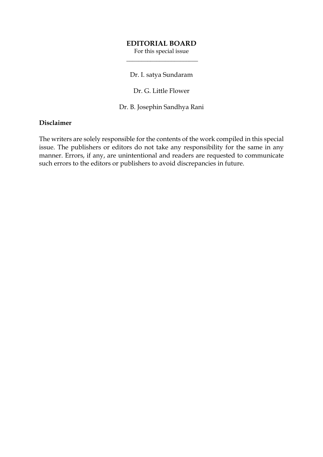#### **EDITORIAL BOARD**

For this special issue  $\overline{\phantom{a}}$  , where  $\overline{\phantom{a}}$  , where  $\overline{\phantom{a}}$  , where  $\overline{\phantom{a}}$ 

Dr. I. satya Sundaram

Dr. G. Little Flower

Dr. B. Josephin Sandhya Rani

#### **Disclaimer**

The writers are solely responsible for the contents of the work compiled in this special issue. The publishers or editors do not take any responsibility for the same in any manner. Errors, if any, are unintentional and readers are requested to communicate such errors to the editors or publishers to avoid discrepancies in future.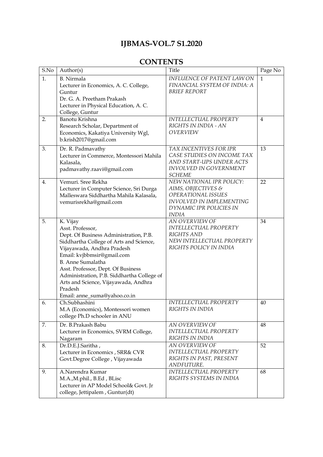## **IJBMAS-VOL.7 S1.2020**

## **CONTENTS**

| S.No | Author(s)                                                              | Title                                                  | Page No        |
|------|------------------------------------------------------------------------|--------------------------------------------------------|----------------|
| 1.   | <b>B.</b> Nirmala                                                      | <b>INFLUENCE OF PATENT LAW ON</b>                      | $\mathbf{1}$   |
|      | Lecturer in Economics, A. C. College,                                  | FINANCIAL SYSTEM OF INDIA: A                           |                |
|      | Guntur                                                                 | <b>BRIEF REPORT</b>                                    |                |
|      | Dr. G. A. Preetham Prakash                                             |                                                        |                |
|      | Lecturer in Physical Education, A.C.                                   |                                                        |                |
|      | College, Guntur                                                        |                                                        |                |
| 2.   | Banotu Krishna                                                         | <b>INTELLECTUAL PROPERTY</b><br>RIGHTS IN INDIA - AN   | $\overline{4}$ |
|      | Research Scholar, Department of<br>Economics, Kakatiya University Wgl, | OVERVIEW                                               |                |
|      | b.krish2017@gmail.com                                                  |                                                        |                |
|      |                                                                        |                                                        |                |
| 3.   | Dr. R. Padmavathy                                                      | TAX INCENTIVES FOR IPR                                 | 13             |
|      | Lecturer in Commerce, Montessori Mahila                                | CASE STUDIES ON INCOME TAX<br>AND START-UPS UNDER ACTS |                |
|      | Kalasala,<br>padmavathy.raavi@gmail.com                                | INVOLVED IN GOVERNMENT                                 |                |
|      |                                                                        | <b>SCHEME</b>                                          |                |
| 4.   | Vemuri. Sree Rekha                                                     | NEW NATIONAL IPR POLICY:                               | 22             |
|      | Lecturer in Computer Science, Sri Durga                                | AIMS, OBJECTIVES &                                     |                |
|      | Malleswara Siddhartha Mahila Kalasala,                                 | OPERATIONAL ISSUES                                     |                |
|      | vemurisrekha@gmail.com                                                 | <b>INVOLVED IN IMPLEMENTING</b>                        |                |
|      |                                                                        | DYNAMIC IPR POLICIES IN                                |                |
| 5.   |                                                                        | INDIA<br>AN OVERVIEW OF                                | 34             |
|      | K. Vijay<br>Asst. Professor,                                           | INTELLECTUAL PROPERTY                                  |                |
|      | Dept. Of Business Administration, P.B.                                 | <b>RIGHTS AND</b>                                      |                |
|      | Siddhartha College of Arts and Science,                                | NEW INTELLECTUAL PROPERTY                              |                |
|      | Vijayawada, Andhra Pradesh                                             | RIGHTS POLICY IN INDIA                                 |                |
|      | Email: kvjbbmsir@gmail.com                                             |                                                        |                |
|      | <b>B.</b> Anne Sumalatha                                               |                                                        |                |
|      | Asst. Professor, Dept. Of Business                                     |                                                        |                |
|      | Administration, P.B. Siddhartha College of                             |                                                        |                |
|      | Arts and Science, Vijayawada, Andhra                                   |                                                        |                |
|      | Pradesh                                                                |                                                        |                |
|      | Email: anne_suma@yahoo.co.in                                           |                                                        |                |
| 6.   | Ch.Subhashini                                                          | <b>INTELLECTUAL PROPERTY</b>                           | 40             |
|      | M.A (Economics), Montessori women<br>college Ph.D schooler in ANU      | RIGHTS IN INDIA                                        |                |
|      |                                                                        |                                                        |                |
| 7.   | Dr. B.Prakash Babu                                                     | AN OVERVIEW OF<br><b>INTELLECTUAL PROPERTY</b>         | 48             |
|      | Lecturer in Economics, SVRM College,                                   | RIGHTS IN INDIA                                        |                |
| 8.   | Nagaram<br>Dr.D.E.J.Saritha,                                           | AN OVERVIEW OF                                         | 52             |
|      | Lecturer in Economics, SRR& CVR                                        | INTELLECTUAL PROPERTY                                  |                |
|      | Govt.Degree College, Vijayawada                                        | RIGHTS IN PAST, PRESENT                                |                |
|      |                                                                        | ANDFUTURE.                                             |                |
| 9.   | A.Narendra Kumar                                                       | <b>INTELLECTUAL PROPERTY</b>                           | 68             |
|      | M.A.,M.phil., B.Ed, BLisc                                              | RIGHTS SYSTEMS IN INDIA                                |                |
|      | Lecturer in AP Model School& Govt. Jr                                  |                                                        |                |
|      | college, Jettipalem, Guntur(dt)                                        |                                                        |                |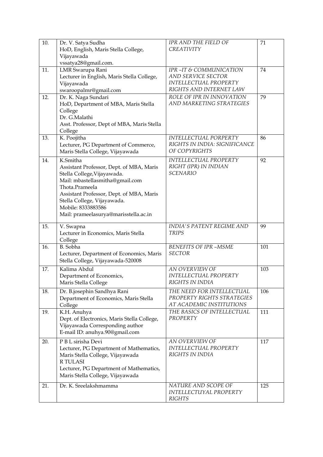| 10. | Dr. V. Satya Sudha<br>HoD, English, Maris Stella College,<br>Vijayawada                                                                                                                                                                                                            | IPR AND THE FIELD OF<br>CREATIVITY                                                               | 71  |
|-----|------------------------------------------------------------------------------------------------------------------------------------------------------------------------------------------------------------------------------------------------------------------------------------|--------------------------------------------------------------------------------------------------|-----|
| 11. | vssatya28@gmail.com.<br>LMR Swarupa Rani<br>Lecturer in English, Maris Stella College,<br>Vijayawada<br>swaroopalmr@gmail.com                                                                                                                                                      | IPR-IT & COMMUNICATION<br>AND SERVICE SECTOR<br>INTELLECTUAL PROPERTY<br>RIGHTS AND INTERNET LAW | 74  |
| 12. | Dr. K. Naga Sundari<br>HoD, Department of MBA, Maris Stella<br>College<br>Dr. G.Malathi<br>Asst. Professor, Dept of MBA, Maris Stella<br>College                                                                                                                                   | ROLE OF IPR IN INNOVATION<br>AND MARKETING STRATEGIES                                            | 79  |
| 13. | K. Poojitha<br>Lecturer, PG Department of Commerce,<br>Maris Stella College, Vijayawada                                                                                                                                                                                            | INTELLECTUAL PORPERTY<br>RIGHTS IN INDIA: SIGNIFICANCE<br>OF COPYRIGHTS                          | 86  |
| 14. | K.Smitha<br>Assistant Professor, Dept. of MBA, Maris<br>Stella College, Vijayawada.<br>Mail: mbastellasmitha@gmail.com<br>Thota.Prameela<br>Assistant Professor, Dept. of MBA, Maris<br>Stella College, Vijayawada.<br>Mobile: 8333883586<br>Mail: prameelasurya@marisstella.ac.in | <b>INTELLECTUAL PROPERTY</b><br>RIGHT (IPR) IN INDIAN<br><b>SCENARIO</b>                         | 92  |
| 15. | V. Swapna<br>Lecturer in Economics, Maris Stella<br>College                                                                                                                                                                                                                        | <b>INDIA'S PATENT REGIME AND</b><br><b>TRIPS</b>                                                 | 99  |
| 16. | B. Sobha<br>Lecturer, Department of Economics, Maris<br>Stella College, Vijayawada-520008                                                                                                                                                                                          | <b>BENEFITS OF IPR -MSME</b><br><b>SECTOR</b>                                                    | 101 |
| 17. | Kalima Abdul<br>Department of Economics,<br>Maris Stella College                                                                                                                                                                                                                   | AN OVERVIEW OF<br>INTELLECTUAL PROPERTY<br>RIGHTS IN INDIA                                       | 103 |
| 18. | Dr. B.josephin Sandhya Rani<br>Department of Economics, Maris Stella<br>College                                                                                                                                                                                                    | THE NEED FOR INTELLECTUAL<br>PROPERTY RIGHTS STRATEGIES<br>AT ACADEMIC INSTITUTIONS              | 106 |
| 19. | K.H. Anuhya<br>Dept. of Electronics, Maris Stella College,<br>Vijayawada Corresponding author<br>E-mail ID: anuhya.90@gmail.com                                                                                                                                                    | THE BASICS OF INTELLECTUAL<br>PROPERTY                                                           | 111 |
| 20. | P B L sirisha Devi<br>Lecturer, PG Department of Mathematics,<br>Maris Stella College, Vijayawada<br><b>R TULASI</b><br>Lecturer, PG Department of Mathematics,<br>Maris Stella College, Vijayawada                                                                                | AN OVERVIEW OF<br>INTELLECTUAL PROPERTY<br>RIGHTS IN INDIA                                       | 117 |
| 21. | Dr. K. Sreelakshmamma                                                                                                                                                                                                                                                              | NATURE AND SCOPE OF<br>INTELLECTUYAL PROPERTY<br><b>RIGHTS</b>                                   | 125 |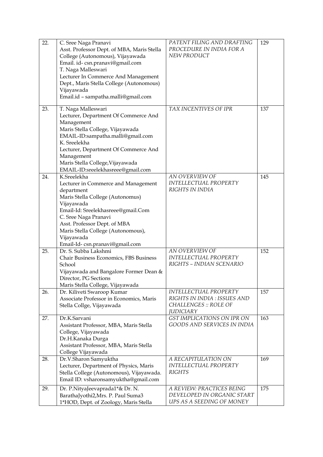| 22. | C. Sree Naga Pranavi<br>Asst. Professor Dept. of MBA, Maris Stella<br>College (Autonomous), Vijayawada<br>Email. id-csn.pranavi@gmail.com<br>T. Naga Malleswari<br>Lecturer In Commerce And Management<br>Dept., Maris Stella College (Autonomous)<br>Vijayawada<br>Email.id - sampatha.malli@gmail.com | PATENT FILING AND DRAFTING<br>PROCEDURE IN INDIA FOR A<br>NEW PRODUCT                                     | 129 |
|-----|---------------------------------------------------------------------------------------------------------------------------------------------------------------------------------------------------------------------------------------------------------------------------------------------------------|-----------------------------------------------------------------------------------------------------------|-----|
| 23. | T. Naga Malleswari<br>Lecturer, Department Of Commerce And<br>Management<br>Maris Stella College, Vijayawada<br>EMAIL-ID:sampatha.malli@gmail.com<br>K. Sreelekha<br>Lecturer, Department Of Commerce And<br>Management<br>Maris Stella College, Vijayawada<br>EMAIL-ID:sreelekhasreee@gmail.com        | TAX INCENTIVES OF IPR                                                                                     | 137 |
| 24. | K.Sreelekha<br>Lecturer in Commerce and Management<br>department<br>Maris Stella College (Autonomus)<br>Vijayawada<br>Email-Id: Sreelekhasreee@gmail.Com<br>C. Sree Naga Pranavi<br>Asst. Professor Dept. of MBA<br>Maris Stella College (Autonomous),<br>Vijayawada<br>Email-Id-csn.pranavi@gmail.com  | AN OVERVIEW OF<br>INTELLECTUAL PROPERTY<br>RIGHTS IN INDIA                                                | 145 |
| 25. | Dr. S. Subba Lakshmi<br>Chair Business Economics, FBS Business<br>School<br>Vijayawada and Bangalore Former Dean &<br>Director, PG Sections<br>Maris Stella College, Vijayawada                                                                                                                         | AN OVERVIEW OF<br>INTELLECTUAL PROPERTY<br>RIGHTS - INDIAN SCENARIO                                       | 152 |
| 26. | Dr. Kiliveti Swaroop Kumar<br>Associate Professor in Economics, Maris<br>Stella Collge, Vijayawada                                                                                                                                                                                                      | INTELLECTUAL PROPERTY<br>RIGHTS IN INDIA : ISSUES AND<br><b>CHALLENGES :: ROLE OF</b><br><b>JUDICIARY</b> | 157 |
| 27. | Dr.K.Sarvani<br>Assistant Professor, MBA, Maris Stella<br>College, Vijayawada<br>Dr.H.Kanaka Durga<br>Assistant Professor, MBA, Maris Stella<br>College Vijayawada                                                                                                                                      | GST IMPLICATIONS ON IPR ON<br>GOODS AND SERVICES IN INDIA                                                 | 163 |
| 28. | Dr.V.Sharon Samyuktha<br>Lecturer, Department of Physics, Maris<br>Stella College (Autonomous), Vijayawada.<br>Email ID: vsharonsamyuktha@gmail.com                                                                                                                                                     | A RECAPITULATION ON<br><b>INTELLECTUAL PROPERTY</b><br><b>RIGHTS</b>                                      | 169 |
| 29. | Dr. P.NityaJeevaprada1*& Dr. N.<br>BarathaJyothi2, Mrs. P. Paul Suma3<br>1*HOD, Dept. of Zoology, Maris Stella                                                                                                                                                                                          | A REVIEW: PRACTICES BEING<br>DEVELOPED IN ORGANIC START<br>UPS AS A SEEDING OF MONEY                      | 175 |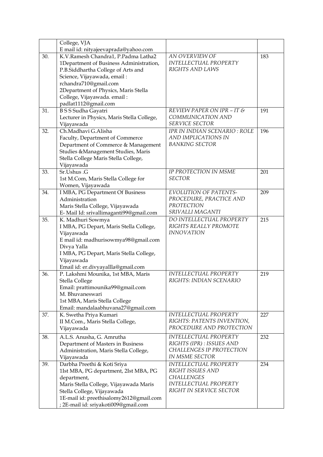|     | College, VJA                               |                               |     |
|-----|--------------------------------------------|-------------------------------|-----|
|     | E mail id: nityajeevaprada@yahoo.com       |                               |     |
| 30. | K.V.Ramesh Chandra1, P.Padma Latha2        | AN OVERVIEW OF                | 183 |
|     | 1Department of Business Administration,    | <b>INTELLECTUAL PROPERTY</b>  |     |
|     | P.B.Siddhartha College of Arts and         | RIGHTS AND LAWS               |     |
|     | Science, Vijayawada, email:                |                               |     |
|     | rchandra710@gmail.com                      |                               |     |
|     | 2Department of Physics, Maris Stella       |                               |     |
|     | College, Vijayawada. email:                |                               |     |
|     | padlat1112@gmail.com                       |                               |     |
| 31. | <b>BSS</b> Sudha Gayatri                   | REVIEW PAPER ON IPR - IT &    | 191 |
|     | Lecturer in Physics, Maris Stella College, | COMMUNICATION AND             |     |
|     | Vijayawada                                 | <b>SERVICE SECTOR</b>         |     |
| 32. | Ch.Madhavi G.Alisha                        | IPR IN INDIAN SCENARIO : ROLE | 196 |
|     |                                            | AND IMPLICATIONS IN           |     |
|     | Faculty, Department of Commerce            | <b>BANKING SECTOR</b>         |     |
|     | Department of Commerce & Management        |                               |     |
|     | Studies & Management Studies, Maris        |                               |     |
|     | Stella College Maris Stella College,       |                               |     |
|     | Vijayawada                                 |                               |     |
| 33. | Sr.Ushus .G                                | IP PROTECTION IN MSME         | 201 |
|     | 1st M.Com, Maris Stella College for        | <b>SECTOR</b>                 |     |
|     | Women, Vijayawada                          |                               |     |
| 34. | I MBA, PG Department Of Business           | <b>EVOLUTION OF PATENTS-</b>  | 209 |
|     | Administration                             | PROCEDURE, PRACTICE AND       |     |
|     | Maris Stella College, Vijayawada           | PROTECTION                    |     |
|     | E-Mail Id: srivallimaganti99@gmail.com     | SRIVALLI MAGANTI              |     |
| 35. | K. Madhuri Sowmya                          | DO INTELLECTUAL PROPERTY      | 215 |
|     | I MBA, PG Depart, Maris Stella College,    | RIGHTS REALLY PROMOTE         |     |
|     | Vijayawada                                 | <b>INNOVATION</b>             |     |
|     | E mail id: madhurisowmya98@gmail.com       |                               |     |
|     | Divya Yalla                                |                               |     |
|     | I MBA, PG Depart, Maris Stella College,    |                               |     |
|     | Vijayawada                                 |                               |     |
|     | Email id: er.divyayallla@gmail.com         |                               |     |
| 36. | P. Lakshmi Mounika, 1st MBA, Maris         | <b>INTELLECTUAL PROPERTY</b>  | 219 |
|     | Stella College                             | RIGHTS: INDIAN SCENARIO       |     |
|     | Email: prattimounika99@gmail.com           |                               |     |
|     | M. Bhuvaneswari                            |                               |     |
|     | 1st MBA, Maris Stella College              |                               |     |
|     | Email: mandalaabhuvana27@gmail.com         |                               |     |
| 37. | K. Swetha Priya Kumari                     | INTELLECTUAL PROPERTY         | 227 |
|     | II M.Com., Maris Stella College,           | RIGHTS: PATENTS INVENTION,    |     |
|     | Vijayawada                                 | PROCEDURE AND PROTECTION      |     |
|     |                                            | <b>INTELLECTUAL PROPERTY</b>  |     |
| 38. | A.L.S. Anusha, G. Amrutha                  | RIGHTS (IPR) : ISSUES AND     | 232 |
|     | Department of Masters in Business          | CHALLENGES IP PROTECTION      |     |
|     | Administration, Maris Stella College,      | <b>IN MSME SECTOR</b>         |     |
|     | Vijayawada                                 |                               |     |
| 39. | Darbha Preethi & Koti Sriya                | <b>INTELLECTUAL PROPERTY</b>  | 234 |
|     | 1Ist MBA, PG department, 2Ist MBA, PG      | RIGHT ISSUES AND              |     |
|     | department,                                | <b>CHALLENGES</b>             |     |
|     | Maris Stella College, Vijayawada Maris     | <b>INTELLECTUAL PROPERTY</b>  |     |
|     | Stella College, Vijayawada                 | RIGHT IN SERVICE SECTOR       |     |
|     | 1E-mail id: preethisalomy2612@gmail.com    |                               |     |
|     | ; 2E-mail id: sriyakoti009@gmail.com       |                               |     |